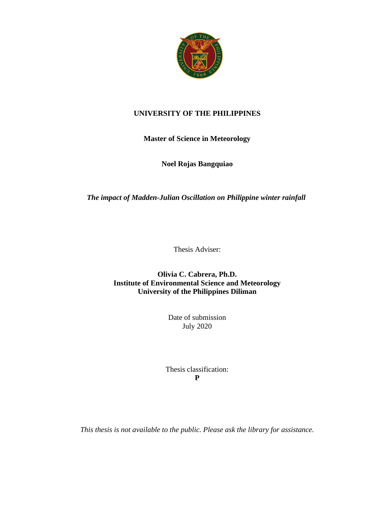

## **UNIVERSITY OF THE PHILIPPINES**

# **Master of Science in Meteorology**

## **Noel Rojas Bangquiao**

#### *The impact of Madden-Julian Oscillation on Philippine winter rainfall*

Thesis Adviser:

**Olivia C. Cabrera, Ph.D. Institute of Environmental Science and Meteorology University of the Philippines Diliman**

> Date of submission July 2020

Thesis classification: **P**

*This thesis is not available to the public. Please ask the library for assistance.*